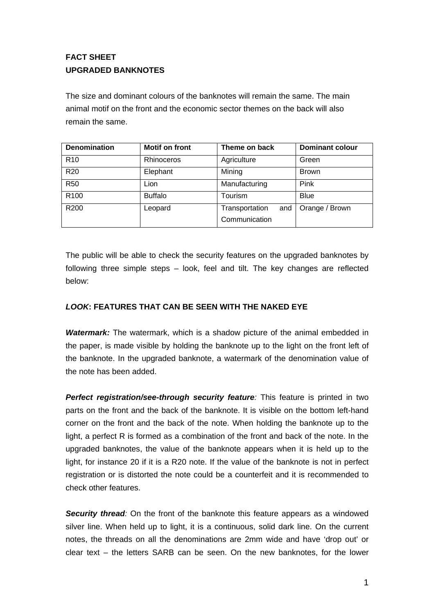# **FACT SHEET UPGRADED BANKNOTES**

The size and dominant colours of the banknotes will remain the same. The main animal motif on the front and the economic sector themes on the back will also remain the same.

| <b>Denomination</b> | <b>Motif on front</b> | Theme on back         | <b>Dominant colour</b> |
|---------------------|-----------------------|-----------------------|------------------------|
| R <sub>10</sub>     | Rhinoceros            | Agriculture           | Green                  |
| <b>R20</b>          | Elephant              | Mining                | <b>Brown</b>           |
| <b>R50</b>          | Lion                  | Manufacturing         | Pink                   |
| R <sub>100</sub>    | <b>Buffalo</b>        | Tourism               | <b>Blue</b>            |
| R <sub>200</sub>    | Leopard               | Transportation<br>and | Orange / Brown         |
|                     |                       | Communication         |                        |

The public will be able to check the security features on the upgraded banknotes by following three simple steps – look, feel and tilt. The key changes are reflected below:

## *LOOK***: FEATURES THAT CAN BE SEEN WITH THE NAKED EYE**

*Watermark:* The watermark, which is a shadow picture of the animal embedded in the paper, is made visible by holding the banknote up to the light on the front left of the banknote. In the upgraded banknote, a watermark of the denomination value of the note has been added.

*Perfect registration/see-through security feature:* This feature is printed in two parts on the front and the back of the banknote. It is visible on the bottom left-hand corner on the front and the back of the note. When holding the banknote up to the light, a perfect R is formed as a combination of the front and back of the note. In the upgraded banknotes, the value of the banknote appears when it is held up to the light, for instance 20 if it is a R20 note. If the value of the banknote is not in perfect registration or is distorted the note could be a counterfeit and it is recommended to check other features.

*Security thread:* On the front of the banknote this feature appears as a windowed silver line. When held up to light, it is a continuous, solid dark line. On the current notes, the threads on all the denominations are 2mm wide and have 'drop out' or clear text – the letters SARB can be seen. On the new banknotes, for the lower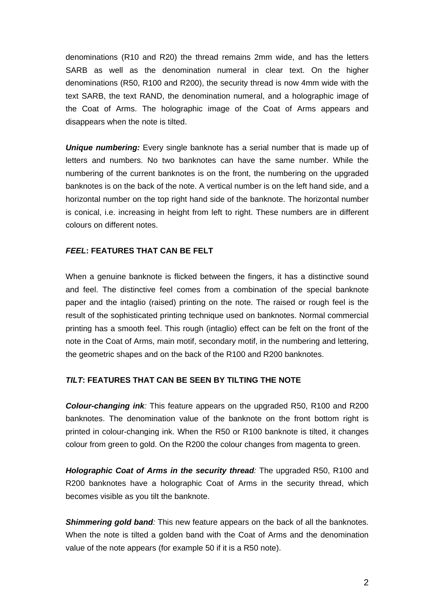denominations (R10 and R20) the thread remains 2mm wide, and has the letters SARB as well as the denomination numeral in clear text. On the higher denominations (R50, R100 and R200), the security thread is now 4mm wide with the text SARB, the text RAND, the denomination numeral, and a holographic image of the Coat of Arms. The holographic image of the Coat of Arms appears and disappears when the note is tilted.

**Unique numbering:** Every single banknote has a serial number that is made up of letters and numbers. No two banknotes can have the same number. While the numbering of the current banknotes is on the front, the numbering on the upgraded banknotes is on the back of the note. A vertical number is on the left hand side, and a horizontal number on the top right hand side of the banknote. The horizontal number is conical, i.e. increasing in height from left to right. These numbers are in different colours on different notes.

#### *FEEL***: FEATURES THAT CAN BE FELT**

When a genuine banknote is flicked between the fingers, it has a distinctive sound and feel. The distinctive feel comes from a combination of the special banknote paper and the intaglio (raised) printing on the note. The raised or rough feel is the result of the sophisticated printing technique used on banknotes. Normal commercial printing has a smooth feel. This rough (intaglio) effect can be felt on the front of the note in the Coat of Arms, main motif, secondary motif, in the numbering and lettering, the geometric shapes and on the back of the R100 and R200 banknotes.

## *TILT***: FEATURES THAT CAN BE SEEN BY TILTING THE NOTE**

*Colour-changing ink:* This feature appears on the upgraded R50, R100 and R200 banknotes. The denomination value of the banknote on the front bottom right is printed in colour-changing ink. When the R50 or R100 banknote is tilted, it changes colour from green to gold. On the R200 the colour changes from magenta to green.

*Holographic Coat of Arms in the security thread:* The upgraded R50, R100 and R200 banknotes have a holographic Coat of Arms in the security thread, which becomes visible as you tilt the banknote.

**Shimmering gold band**: This new feature appears on the back of all the banknotes. When the note is tilted a golden band with the Coat of Arms and the denomination value of the note appears (for example 50 if it is a R50 note).